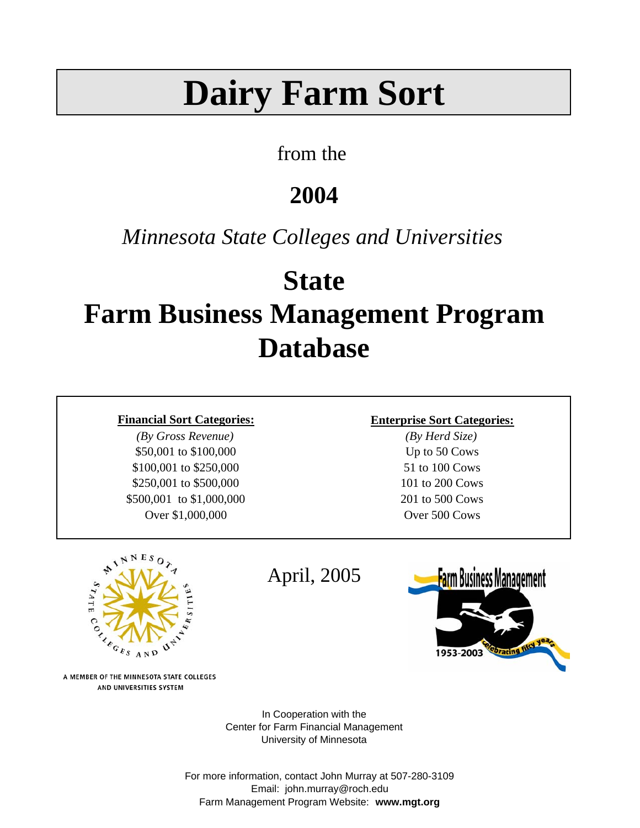# **Dairy Farm Sort**

### from the

# **2004**

## *Minnesota State Colleges and Universities*

# **State Farm Business Management Program Database**

*(By Gross Revenue) (By Herd Size)* \$50,001 to \$100,000 Up to 50 Cows \$100,001 to \$250,000 51 to 100 Cows \$250,001 to \$500,000 101 to 200 Cows \$500,001 to \$1,000,000 201 to 500 Cows Over \$1,000,000 Over 500 Cows

#### **Financial Sort Categories: Enterprise Sort Categories:**



A MEMBER OF THE MINNESOTA STATE COLLEGES AND UNIVERSITIES SYSTEM

April, 2005



In Cooperation with the Center for Farm Financial Management University of Minnesota

For more information, contact John Murray at 507-280-3109 Email: john.murray@roch.edu Farm Management Program Website: **www.mgt.org**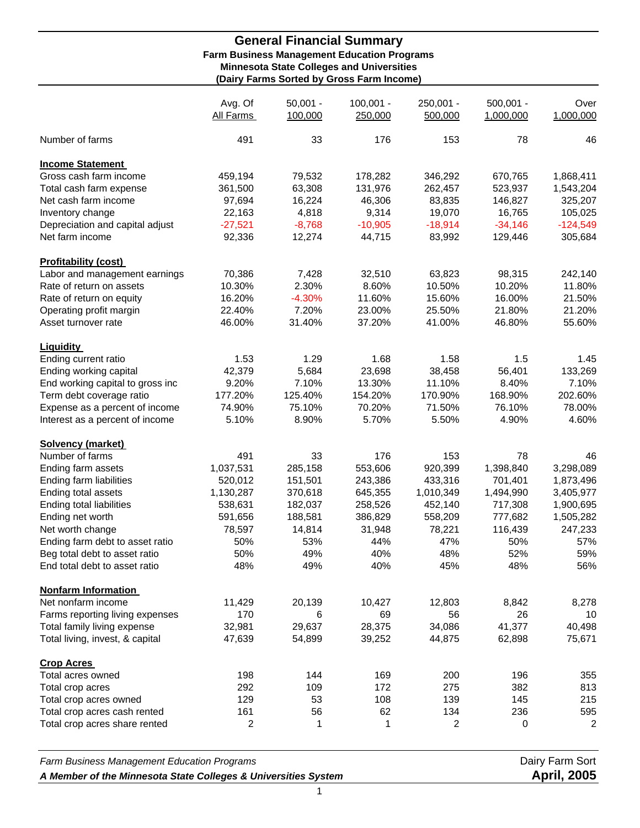#### **General Financial Summary Farm Business Management Education Programs Minnesota State Colleges and Universities (Dairy Farms Sorted by Gross Farm Income)**

|                                  | Avg. Of<br>All Farms | $50,001 -$<br>100,000 | $100,001 -$<br>250,000 | 250,001 -<br>500,000 | $500,001 -$<br>1,000,000 | Over<br>1,000,000 |
|----------------------------------|----------------------|-----------------------|------------------------|----------------------|--------------------------|-------------------|
| Number of farms                  | 491                  | 33                    | 176                    | 153                  | 78                       | 46                |
| <b>Income Statement</b>          |                      |                       |                        |                      |                          |                   |
| Gross cash farm income           | 459,194              | 79,532                | 178,282                | 346,292              | 670,765                  | 1,868,411         |
| Total cash farm expense          | 361,500              | 63,308                | 131,976                | 262,457              | 523,937                  | 1,543,204         |
| Net cash farm income             | 97,694               | 16,224                | 46,306                 | 83,835               | 146,827                  | 325,207           |
| Inventory change                 | 22,163               | 4,818                 | 9,314                  | 19,070               | 16,765                   | 105,025           |
| Depreciation and capital adjust  | $-27,521$            | $-8,768$              | $-10,905$              | $-18,914$            | $-34,146$                | $-124,549$        |
| Net farm income                  | 92,336               | 12,274                | 44,715                 | 83,992               | 129,446                  | 305,684           |
| <b>Profitability (cost)</b>      |                      |                       |                        |                      |                          |                   |
| Labor and management earnings    | 70,386               | 7,428                 | 32,510                 | 63,823               | 98,315                   | 242,140           |
| Rate of return on assets         | 10.30%               | 2.30%                 | 8.60%                  | 10.50%               | 10.20%                   | 11.80%            |
| Rate of return on equity         | 16.20%               | $-4.30%$              | 11.60%                 | 15.60%               | 16.00%                   | 21.50%            |
| Operating profit margin          | 22.40%               | 7.20%                 | 23.00%                 | 25.50%               | 21.80%                   | 21.20%            |
| Asset turnover rate              | 46.00%               | 31.40%                | 37.20%                 | 41.00%               | 46.80%                   | 55.60%            |
| <b>Liquidity</b>                 |                      |                       |                        |                      |                          |                   |
| Ending current ratio             | 1.53                 | 1.29                  | 1.68                   | 1.58                 | 1.5                      | 1.45              |
|                                  | 42,379               | 5,684                 | 23,698                 | 38,458               | 56,401                   | 133,269           |
| Ending working capital           | 9.20%                | 7.10%                 | 13.30%                 | 11.10%               | 8.40%                    | 7.10%             |
| End working capital to gross inc |                      |                       |                        |                      |                          |                   |
| Term debt coverage ratio         | 177.20%              | 125.40%               | 154.20%                | 170.90%              | 168.90%                  | 202.60%           |
| Expense as a percent of income   | 74.90%               | 75.10%                | 70.20%                 | 71.50%               | 76.10%                   | 78.00%            |
| Interest as a percent of income  | 5.10%                | 8.90%                 | 5.70%                  | 5.50%                | 4.90%                    | 4.60%             |
| <b>Solvency (market)</b>         |                      |                       |                        |                      |                          |                   |
| Number of farms                  | 491                  | 33                    | 176                    | 153                  | 78                       | 46                |
| Ending farm assets               | 1,037,531            | 285,158               | 553,606                | 920,399              | 1,398,840                | 3,298,089         |
| Ending farm liabilities          | 520,012              | 151,501               | 243,386                | 433,316              | 701,401                  | 1,873,496         |
| Ending total assets              | 1,130,287            | 370,618               | 645,355                | 1,010,349            | 1,494,990                | 3,405,977         |
| Ending total liabilities         | 538,631              | 182,037               | 258,526                | 452,140              | 717,308                  | 1,900,695         |
| Ending net worth                 | 591,656              | 188,581               | 386,829                | 558,209              | 777,682                  | 1,505,282         |
| Net worth change                 | 78,597               | 14,814                | 31,948                 | 78,221               | 116,439                  | 247,233           |
| Ending farm debt to asset ratio  | 50%                  | 53%                   | 44%                    | 47%                  | 50%                      | 57%               |
| Beg total debt to asset ratio    | 50%                  | 49%                   | 40%                    | 48%                  | 52%                      | 59%               |
| End total debt to asset ratio    | 48%                  | 49%                   | 40%                    | 45%                  | 48%                      | 56%               |
| <b>Nonfarm Information</b>       |                      |                       |                        |                      |                          |                   |
| Net nonfarm income               | 11,429               | 20,139                | 10,427                 | 12,803               | 8,842                    | 8,278             |
| Farms reporting living expenses  | 170                  | 6                     | 69                     | 56                   | 26                       | 10                |
| Total family living expense      | 32,981               | 29,637                | 28,375                 | 34,086               | 41,377                   | 40,498            |
| Total living, invest, & capital  | 47,639               | 54,899                | 39,252                 | 44,875               | 62,898                   | 75,671            |
| <b>Crop Acres</b>                |                      |                       |                        |                      |                          |                   |
| Total acres owned                | 198                  | 144                   | 169                    | 200                  | 196                      | 355               |
| Total crop acres                 | 292                  | 109                   | 172                    | 275                  | 382                      | 813               |
| Total crop acres owned           | 129                  | 53                    | 108                    | 139                  | 145                      | 215               |
| Total crop acres cash rented     | 161                  | 56                    | 62                     | 134                  | 236                      | 595               |
| Total crop acres share rented    | $\overline{c}$       | 1                     | 1                      | $\overline{c}$       | 0                        | $\boldsymbol{2}$  |
|                                  |                      |                       |                        |                      |                          |                   |

**Farm Business Management Education Programs Dairy Farm Sort Dairy Farm Sort** *A Member of the Minnesota State Colleges & Universities System* **April, 2005**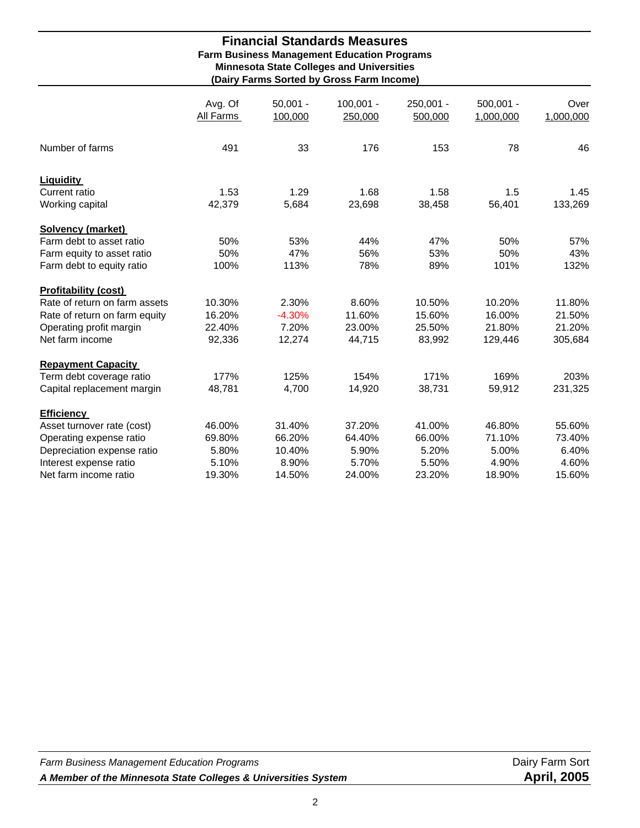#### **Financial Standards Measures Farm Business Management Education Programs Minnesota State Colleges and Universities (Dairy Farms Sorted by Gross Farm Income)**

|                               | Avg. Of<br>All Farms | $50,001 -$<br>100,000 | $100,001 -$<br>250,000 | 250,001 -<br>500,000 | $500,001 -$<br>1,000,000 | Over<br>1,000,000 |
|-------------------------------|----------------------|-----------------------|------------------------|----------------------|--------------------------|-------------------|
| Number of farms               | 491                  | 33                    | 176                    | 153                  | 78                       | 46                |
| <b>Liquidity</b>              |                      |                       |                        |                      |                          |                   |
| Current ratio                 | 1.53                 | 1.29                  | 1.68                   | 1.58                 | 1.5                      | 1.45              |
| Working capital               | 42,379               | 5,684                 | 23,698                 | 38,458               | 56,401                   | 133,269           |
| <b>Solvency (market)</b>      |                      |                       |                        |                      |                          |                   |
| Farm debt to asset ratio      | 50%                  | 53%                   | 44%                    | 47%                  | 50%                      | 57%               |
| Farm equity to asset ratio    | 50%                  | 47%                   | 56%                    | 53%                  | 50%                      | 43%               |
| Farm debt to equity ratio     | 100%                 | 113%                  | 78%                    | 89%                  | 101%                     | 132%              |
| <b>Profitability (cost)</b>   |                      |                       |                        |                      |                          |                   |
| Rate of return on farm assets | 10.30%               | 2.30%                 | 8.60%                  | 10.50%               | 10.20%                   | 11.80%            |
| Rate of return on farm equity | 16.20%               | $-4.30%$              | 11.60%                 | 15.60%               | 16.00%                   | 21.50%            |
| Operating profit margin       | 22.40%               | 7.20%                 | 23.00%                 | 25.50%               | 21.80%                   | 21.20%            |
| Net farm income               | 92,336               | 12,274                | 44,715                 | 83,992               | 129,446                  | 305,684           |
| <b>Repayment Capacity</b>     |                      |                       |                        |                      |                          |                   |
| Term debt coverage ratio      | 177%                 | 125%                  | 154%                   | 171%                 | 169%                     | 203%              |
| Capital replacement margin    | 48,781               | 4,700                 | 14,920                 | 38,731               | 59,912                   | 231,325           |
| <b>Efficiency</b>             |                      |                       |                        |                      |                          |                   |
| Asset turnover rate (cost)    | 46.00%               | 31.40%                | 37.20%                 | 41.00%               | 46.80%                   | 55.60%            |
| Operating expense ratio       | 69.80%               | 66.20%                | 64.40%                 | 66.00%               | 71.10%                   | 73.40%            |
| Depreciation expense ratio    | 5.80%                | 10.40%                | 5.90%                  | 5.20%                | 5.00%                    | 6.40%             |
| Interest expense ratio        | 5.10%                | 8.90%                 | 5.70%                  | 5.50%                | 4.90%                    | 4.60%             |
| Net farm income ratio         | 19.30%               | 14.50%                | 24.00%                 | 23.20%               | 18.90%                   | 15.60%            |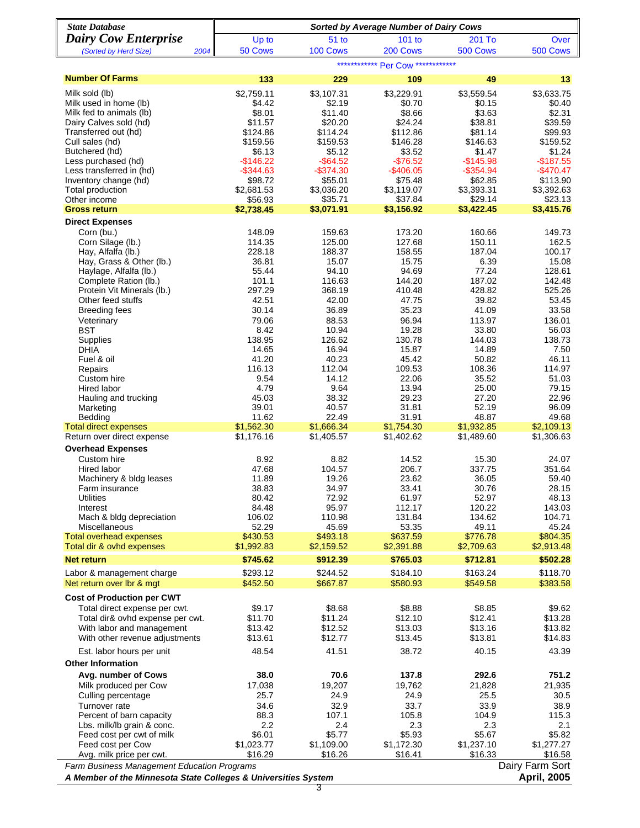| <b>State Database</b>                                             | <b>Sorted by Average Number of Dairy Cows</b> |                       |                       |                       |                       |  |  |  |  |
|-------------------------------------------------------------------|-----------------------------------------------|-----------------------|-----------------------|-----------------------|-----------------------|--|--|--|--|
| <b>Dairy Cow Enterprise</b>                                       | Up to                                         | 51 <sub>to</sub>      | 101 to                | 201 To                | Over                  |  |  |  |  |
| 2004<br>(Sorted by Herd Size)                                     | 50 Cows                                       | 100 Cows              | 200 Cows              | 500 Cows              | 500 Cows              |  |  |  |  |
|                                                                   |                                               |                       | Per Cow ************* |                       |                       |  |  |  |  |
| <b>Number Of Farms</b>                                            | 133                                           | 229                   | 109                   | 49                    | 13                    |  |  |  |  |
| Milk sold (lb)                                                    | \$2,759.11                                    | \$3,107.31            | \$3,229.91            | \$3,559.54            | \$3,633.75            |  |  |  |  |
| Milk used in home (lb)<br>Milk fed to animals (lb)                | \$4.42<br>\$8.01                              | \$2.19<br>\$11.40     | \$0.70<br>\$8.66      | \$0.15<br>\$3.63      | \$0.40<br>\$2.31      |  |  |  |  |
| Dairy Calves sold (hd)                                            | \$11.57                                       | \$20.20               | \$24.24               | \$38.81               | \$39.59               |  |  |  |  |
| Transferred out (hd)                                              | \$124.86                                      | \$114.24              | \$112.86              | \$81.14               | \$99.93               |  |  |  |  |
| Cull sales (hd)                                                   | \$159.56                                      | \$159.53              | \$146.28              | \$146.63              | \$159.52              |  |  |  |  |
| Butchered (hd)<br>Less purchased (hd)                             | \$6.13<br>$-$146.22$                          | \$5.12<br>$-$ \$64.52 | \$3.52<br>$-$ \$76.52 | \$1.47<br>$-$145.98$  | \$1.24<br>$-$187.55$  |  |  |  |  |
| Less transferred in (hd)                                          | $-$ \$344.63                                  | $-$374.30$            | $-$ \$406.05          | $-$ \$354.94          | $-$ \$470.47          |  |  |  |  |
| Inventory change (hd)                                             | \$98.72                                       | \$55.01               | \$75.48               | \$62.85               | \$113.90              |  |  |  |  |
| Total production                                                  | \$2,681.53                                    | \$3,036.20            | \$3,119.07            | \$3,393.31            | \$3,392.63            |  |  |  |  |
| Other income<br><b>Gross return</b>                               | \$56.93<br>\$2,738.45                         | \$35.71<br>\$3,071.91 | \$37.84<br>\$3,156.92 | \$29.14<br>\$3,422.45 | \$23.13<br>\$3,415.76 |  |  |  |  |
| <b>Direct Expenses</b>                                            |                                               |                       |                       |                       |                       |  |  |  |  |
| Corn (bu.)                                                        | 148.09                                        | 159.63                | 173.20                | 160.66                | 149.73                |  |  |  |  |
| Corn Silage (lb.)                                                 | 114.35                                        | 125.00                | 127.68                | 150.11                | 162.5                 |  |  |  |  |
| Hay, Alfalfa (lb.)<br>Hay, Grass & Other (lb.)                    | 228.18<br>36.81                               | 188.37<br>15.07       | 158.55<br>15.75       | 187.04<br>6.39        | 100.17<br>15.08       |  |  |  |  |
| Haylage, Alfalfa (lb.)                                            | 55.44                                         | 94.10                 | 94.69                 | 77.24                 | 128.61                |  |  |  |  |
| Complete Ration (lb.)                                             | 101.1                                         | 116.63                | 144.20                | 187.02                | 142.48                |  |  |  |  |
| Protein Vit Minerals (lb.)                                        | 297.29                                        | 368.19                | 410.48                | 428.82                | 525.26                |  |  |  |  |
| Other feed stuffs<br><b>Breeding fees</b>                         | 42.51<br>30.14                                | 42.00<br>36.89        | 47.75<br>35.23        | 39.82<br>41.09        | 53.45<br>33.58        |  |  |  |  |
| Veterinary                                                        | 79.06                                         | 88.53                 | 96.94                 | 113.97                | 136.01                |  |  |  |  |
| <b>BST</b>                                                        | 8.42                                          | 10.94                 | 19.28                 | 33.80                 | 56.03                 |  |  |  |  |
| <b>Supplies</b>                                                   | 138.95                                        | 126.62                | 130.78                | 144.03                | 138.73                |  |  |  |  |
| DHIA<br>Fuel & oil                                                | 14.65<br>41.20                                | 16.94<br>40.23        | 15.87<br>45.42        | 14.89<br>50.82        | 7.50<br>46.11         |  |  |  |  |
| Repairs                                                           | 116.13                                        | 112.04                | 109.53                | 108.36                | 114.97                |  |  |  |  |
| Custom hire                                                       | 9.54                                          | 14.12                 | 22.06                 | 35.52                 | 51.03                 |  |  |  |  |
| Hired labor                                                       | 4.79                                          | 9.64                  | 13.94                 | 25.00                 | 79.15                 |  |  |  |  |
| Hauling and trucking<br>Marketing                                 | 45.03<br>39.01                                | 38.32<br>40.57        | 29.23<br>31.81        | 27.20<br>52.19        | 22.96<br>96.09        |  |  |  |  |
| Bedding                                                           | 11.62                                         | 22.49                 | 31.91                 | 48.87                 | 49.68                 |  |  |  |  |
| <b>Total direct expenses</b>                                      | \$1,562.30                                    | \$1,666.34            | \$1,754.30            | \$1,932.85            | \$2,109.13            |  |  |  |  |
| Return over direct expense                                        | \$1,176.16                                    | \$1,405.57            | \$1,402.62            | \$1,489.60            | \$1,306.63            |  |  |  |  |
| <b>Overhead Expenses</b>                                          |                                               |                       |                       |                       |                       |  |  |  |  |
| Custom hire<br>Hired labor                                        | 8.92<br>47.68                                 | 8.82<br>104.57        | 14.52<br>206.7        | 15.30<br>337.75       | 24.07<br>351.64       |  |  |  |  |
| Machinery & bldg leases                                           | 11.89                                         | 19.26                 | 23.62                 | 36.05                 | 59.40                 |  |  |  |  |
| Farm insurance                                                    | 38.83                                         | 34.97                 | 33.41                 | 30.76                 | 28.15                 |  |  |  |  |
| Utilities<br>Interest                                             | 80.42<br>84.48                                | 72.92<br>95.97        | 61.97<br>112.17       | 52.97<br>120.22       | 48.13<br>143.03       |  |  |  |  |
| Mach & bldg depreciation                                          | 106.02                                        | 110.98                | 131.84                | 134.62                | 104.71                |  |  |  |  |
| Miscellaneous                                                     | 52.29                                         | 45.69                 | 53.35                 | 49.11                 | 45.24                 |  |  |  |  |
| <b>Total overhead expenses</b>                                    | \$430.53                                      | \$493.18              | \$637.59              | \$776.78              | \$804.35              |  |  |  |  |
| Total dir & ovhd expenses                                         | \$1,992.83                                    | \$2,159.52            | \$2,391.88            | \$2,709.63            | \$2,913.48            |  |  |  |  |
| <b>Net return</b>                                                 | \$745.62                                      | \$912.39              | \$765.03              | \$712.81              | \$502.28              |  |  |  |  |
| Labor & management charge<br>Net return over Ibr & mgt            | \$293.12<br>\$452.50                          | \$244.52<br>\$667.87  | \$184.10<br>\$580.93  | \$163.24<br>\$549.58  | \$118.70<br>\$383.58  |  |  |  |  |
|                                                                   |                                               |                       |                       |                       |                       |  |  |  |  |
| <b>Cost of Production per CWT</b>                                 | \$9.17                                        | \$8.68                | \$8.88                | \$8.85                | \$9.62                |  |  |  |  |
| Total direct expense per cwt.<br>Total dir& ovhd expense per cwt. | \$11.70                                       | \$11.24               | \$12.10               | \$12.41               | \$13.28               |  |  |  |  |
| With labor and management                                         | \$13.42                                       | \$12.52               | \$13.03               | \$13.16               | \$13.82               |  |  |  |  |
| With other revenue adjustments                                    | \$13.61                                       | \$12.77               | \$13.45               | \$13.81               | \$14.83               |  |  |  |  |
| Est. labor hours per unit                                         | 48.54                                         | 41.51                 | 38.72                 | 40.15                 | 43.39                 |  |  |  |  |
| <b>Other Information</b>                                          |                                               |                       |                       |                       |                       |  |  |  |  |
| Avg. number of Cows                                               | 38.0                                          | 70.6                  | 137.8                 | 292.6                 | 751.2                 |  |  |  |  |
| Milk produced per Cow                                             | 17,038                                        | 19,207                | 19,762                | 21,828                | 21,935                |  |  |  |  |
| Culling percentage<br>Turnover rate                               | 25.7<br>34.6                                  | 24.9<br>32.9          | 24.9<br>33.7          | 25.5<br>33.9          | 30.5<br>38.9          |  |  |  |  |
| Percent of barn capacity                                          | 88.3                                          | 107.1                 | 105.8                 | 104.9                 | 115.3                 |  |  |  |  |
| Lbs. milk/lb grain & conc.                                        | 2.2                                           | 2.4                   | 2.3                   | 2.3                   | 2.1                   |  |  |  |  |
| Feed cost per cwt of milk<br>Feed cost per Cow                    | \$6.01<br>\$1,023.77                          | \$5.77<br>\$1,109.00  | \$5.93<br>\$1,172.30  | \$5.67<br>\$1,237.10  | \$5.82<br>\$1,277.27  |  |  |  |  |
| Avg. milk price per cwt.                                          | \$16.29                                       | \$16.26               | \$16.41               | \$16.33               | \$16.58               |  |  |  |  |
| Farm Business Management Education Programs                       |                                               |                       |                       |                       | Dairy Farm Sort       |  |  |  |  |
| A Member of the Minnesota State Colleges & Universities System    |                                               |                       |                       |                       | <b>April, 2005</b>    |  |  |  |  |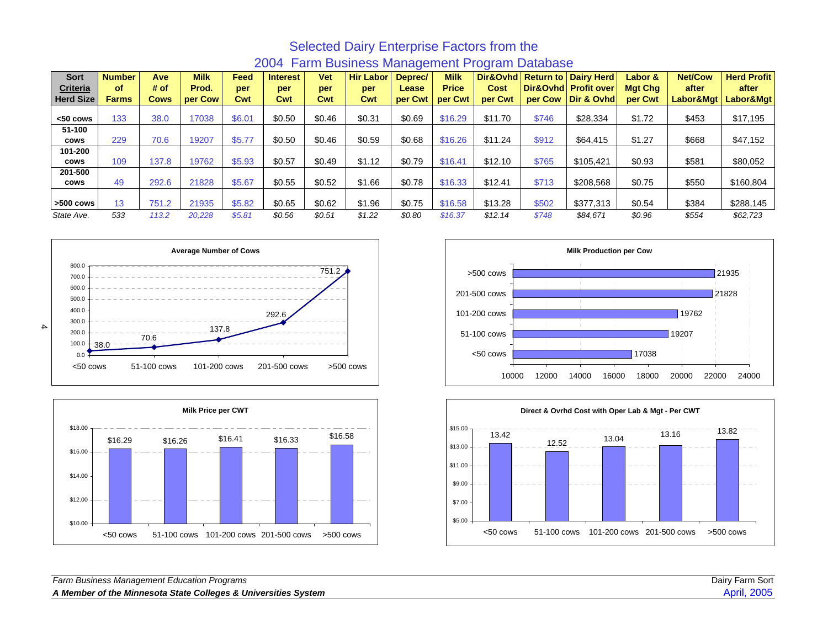| <b>Sort</b>      | <b>Number</b> | Ave   | <b>Milk</b> | Feed   | <b>Interest</b> | <b>Vet</b> | <b>Hir Labor</b> | Deprec/ | <b>Milk</b>  | Dir&Ovhd Return to |         | <b>Dairy Herd</b>    | Labor & | <b>Net/Cow</b> | <b>Herd Profit</b>    |
|------------------|---------------|-------|-------------|--------|-----------------|------------|------------------|---------|--------------|--------------------|---------|----------------------|---------|----------------|-----------------------|
| <b>Criteria</b>  | οf            | # of  | Prod.       | per    | per             | per        | per              | Lease   | <b>Price</b> | Cost               |         | Dir&Ovhd Profit over | Mgt Chg | after          | after                 |
| <b>Herd Size</b> | <b>Farms</b>  | Cows  | per Cow     | Cwt    | Cwt             | Cwt        | Cwt              | per Cwt | per Cwt      | per Cwt            | per Cow | Dir & Ovhd           | per Cwt |                | Labor&Mgt   Labor&Mgt |
|                  |               |       |             |        |                 |            |                  |         |              |                    |         |                      |         |                |                       |
| <50 cows         | 133           | 38.0  | 17038       | \$6.01 | \$0.50          | \$0.46     | \$0.31           | \$0.69  | \$16.29      | \$11.70            | \$746   | \$28,334             | \$1.72  | \$453          | \$17,195              |
| 51-100           |               |       |             |        |                 |            |                  |         |              |                    |         |                      |         |                |                       |
| cows             | 229           | 70.6  | 19207       | \$5.77 | \$0.50          | \$0.46     | \$0.59           | \$0.68  | \$16.26      | \$11.24            | \$912   | \$64,415             | \$1.27  | \$668          | \$47,152              |
| 101-200          |               |       |             |        |                 |            |                  |         |              |                    |         |                      |         |                |                       |
| cows             | 109           | 137.8 | 19762       | \$5.93 | \$0.57          | \$0.49     | \$1.12           | \$0.79  | \$16.41      | \$12.10            | \$765   | \$105,421            | \$0.93  | \$581          | \$80,052              |
| 201-500          |               |       |             |        |                 |            |                  |         |              |                    |         |                      |         |                |                       |
| <b>COWS</b>      | 49            | 292.6 | 21828       | \$5.67 | \$0.55          | \$0.52     | \$1.66           | \$0.78  | \$16.33      | \$12.41            | \$713   | \$208,568            | \$0.75  | \$550          | \$160,804             |
|                  |               |       |             |        |                 |            |                  |         |              |                    |         |                      |         |                |                       |
| $>500$ cows      | 13            | 751.2 | 21935       | \$5.82 | \$0.65          | \$0.62     | \$1.96           | \$0.75  | \$16.58      | \$13.28            | \$502   | \$377.313            | \$0.54  | \$384          | \$288,145             |
| State Ave.       | 533           | 113.2 | 20,228      | \$5.81 | \$0.56          | \$0.51     | \$1.22           | \$0.80  | \$16.37      | \$12.14            | \$748   | \$84.671             | \$0.96  | \$554          | \$62,723              |

#### Selected Dairy Enterprise Factors from the 2004 Farm Business Management Program Database







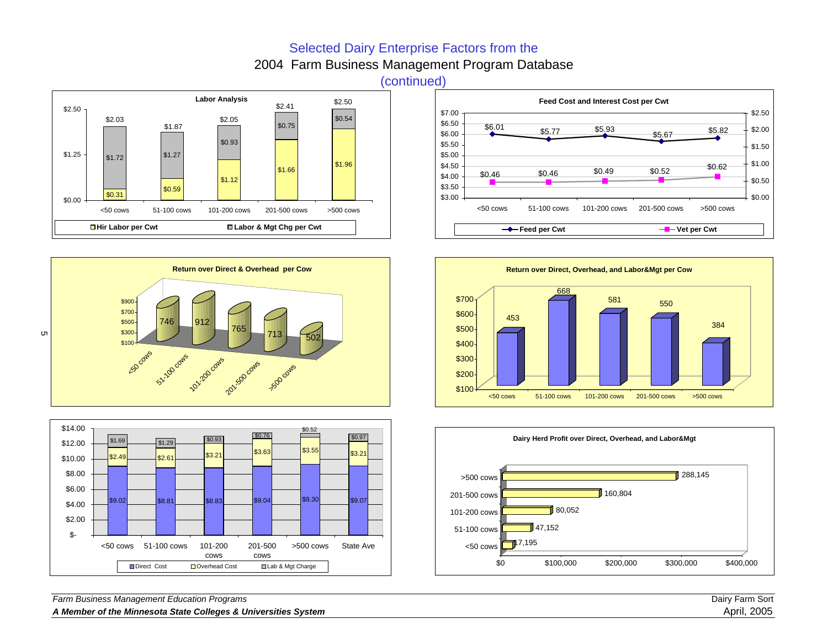### Selected Dairy Enterprise Factors from the

2004 Farm Business Management Program Database











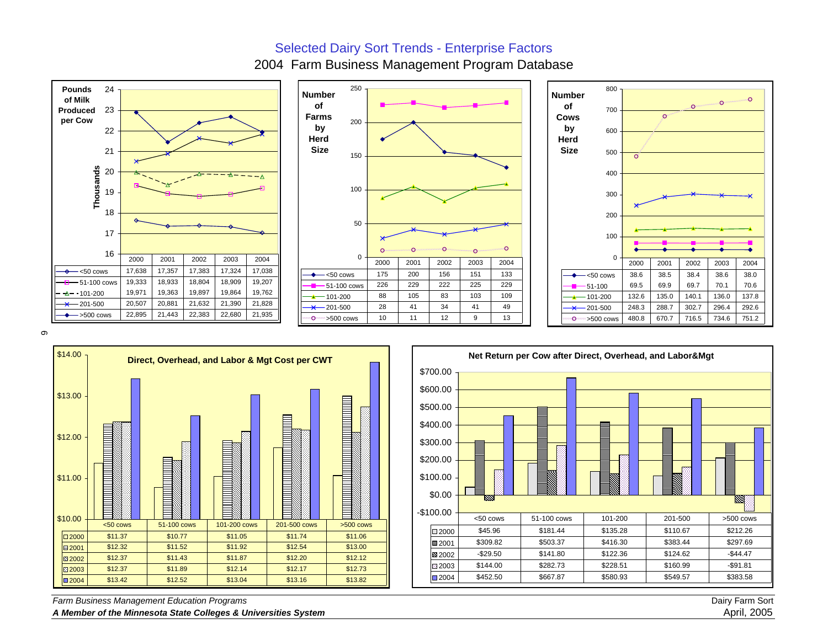#### Selected Dairy Sort Trends - Enterprise Factors

2004 Farm Business Management Program Database







6





*Farm Business Management Education Programs* Dairy Farm Sort

*A Member of the Minnesota State Colleges & Universities System* April, 2005